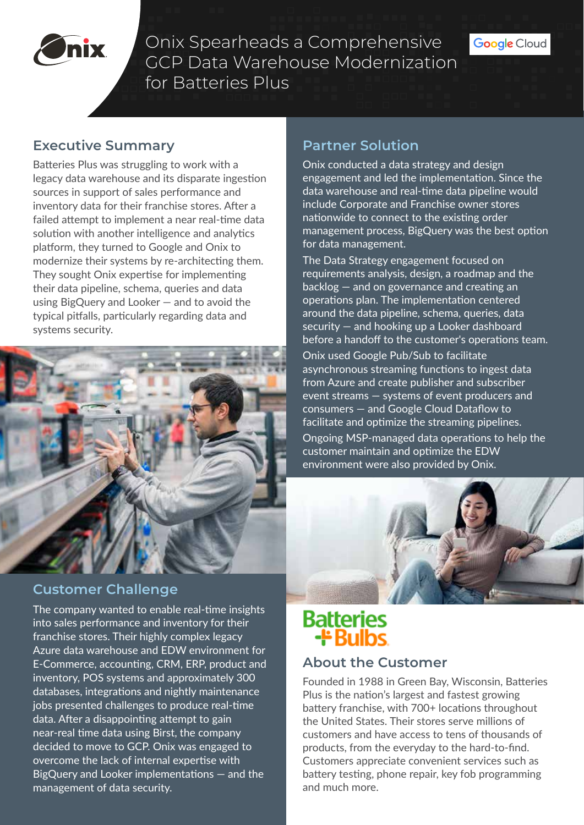

Onix Spearheads a Comprehensive GCP Data Warehouse Modernization for Batteries Plus

#### **Executive Summary**

Batteries Plus was struggling to work with a legacy data warehouse and its disparate ingestion sources in support of sales performance and inventory data for their franchise stores. After a failed attempt to implement a near real-time data solution with another intelligence and analytics platform, they turned to Google and Onix to modernize their systems by re-architecting them. They sought Onix expertise for implementing their data pipeline, schema, queries and data using BigQuery and Looker — and to avoid the typical pitfalls, particularly regarding data and systems security.



### **Customer Challenge**

The company wanted to enable real-time insights into sales performance and inventory for their franchise stores. Their highly complex legacy Azure data warehouse and EDW environment for E-Commerce, accounting, CRM, ERP, product and inventory, POS systems and approximately 300 databases, integrations and nightly maintenance jobs presented challenges to produce real-time data. After a disappointing attempt to gain near-real time data using Birst, the company decided to move to GCP. Onix was engaged to overcome the lack of internal expertise with BigQuery and Looker implementations — and the management of data security.

# **Partner Solution**

Onix conducted a data strategy and design engagement and led the implementation. Since the data warehouse and real-time data pipeline would include Corporate and Franchise owner stores nationwide to connect to the existing order management process, BigQuery was the best option for data management.

The Data Strategy engagement focused on requirements analysis, design, a roadmap and the backlog — and on governance and creating an operations plan. The implementation centered around the data pipeline, schema, queries, data security — and hooking up a Looker dashboard before a handoff to the customer's operations team.

Onix used Google Pub/Sub to facilitate asynchronous streaming functions to ingest data from Azure and create publisher and subscriber event streams — systems of event producers and consumers — and Google Cloud Dataflow to facilitate and optimize the streaming pipelines. Ongoing MSP-managed data operations to help the customer maintain and optimize the EDW environment were also provided by Onix.



# **Batteries ++ Bulbs**

#### **About the Customer**

Founded in 1988 in Green Bay, Wisconsin, Batteries Plus is the nation's largest and fastest growing battery franchise, with 700+ locations throughout the United States. Their stores serve millions of customers and have access to tens of thousands of products, from the everyday to the hard-to-find. Customers appreciate convenient services such as battery testing, phone repair, key fob programming and much more.